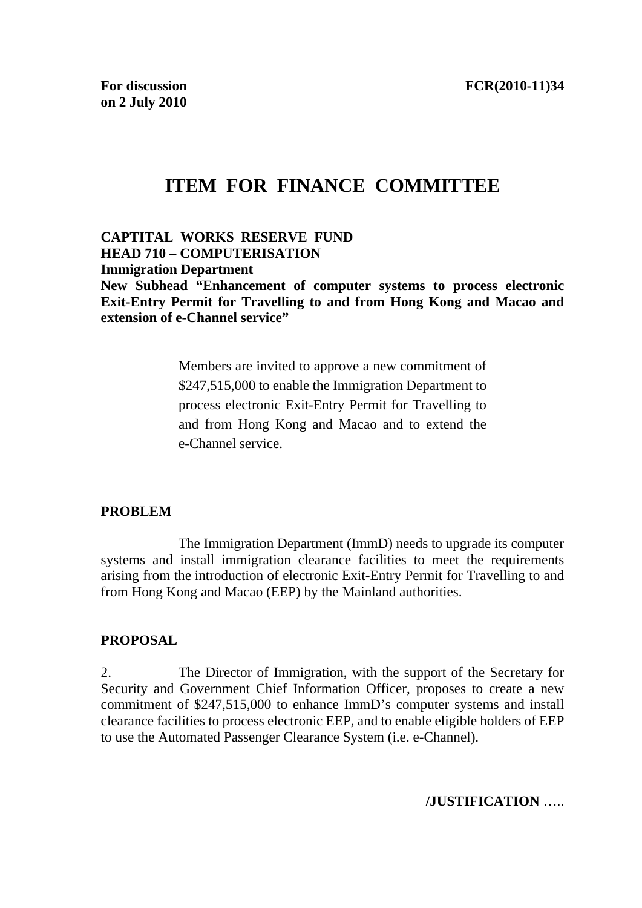# **ITEM FOR FINANCE COMMITTEE**

**CAPTITAL WORKS RESERVE FUND HEAD 710 – COMPUTERISATION Immigration Department New Subhead "Enhancement of computer systems to process electronic Exit-Entry Permit for Travelling to and from Hong Kong and Macao and extension of e-Channel service"** 

> Members are invited to approve a new commitment of \$247,515,000 to enable the Immigration Department to process electronic Exit-Entry Permit for Travelling to and from Hong Kong and Macao and to extend the e-Channel service.

#### **PROBLEM**

The Immigration Department (ImmD) needs to upgrade its computer systems and install immigration clearance facilities to meet the requirements arising from the introduction of electronic Exit-Entry Permit for Travelling to and from Hong Kong and Macao (EEP) by the Mainland authorities.

## **PROPOSAL**

2. The Director of Immigration, with the support of the Secretary for Security and Government Chief Information Officer, proposes to create a new commitment of \$247,515,000 to enhance ImmD's computer systems and install clearance facilities to process electronic EEP, and to enable eligible holders of EEP to use the Automated Passenger Clearance System (i.e. e-Channel).

**/JUSTIFICATION** …..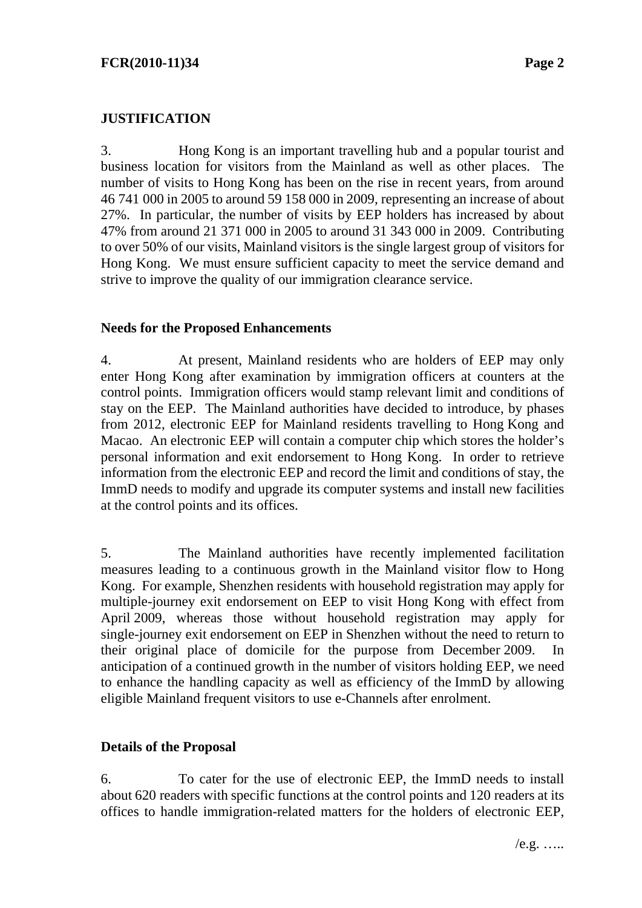## **JUSTIFICATION**

3. Hong Kong is an important travelling hub and a popular tourist and business location for visitors from the Mainland as well as other places. The number of visits to Hong Kong has been on the rise in recent years, from around 46 741 000 in 2005 to around 59 158 000 in 2009, representing an increase of about 27%. In particular, the number of visits by EEP holders has increased by about 47% from around 21 371 000 in 2005 to around 31 343 000 in 2009. Contributing to over 50% of our visits, Mainland visitors is the single largest group of visitors for Hong Kong. We must ensure sufficient capacity to meet the service demand and strive to improve the quality of our immigration clearance service.

#### **Needs for the Proposed Enhancements**

4. At present, Mainland residents who are holders of EEP may only enter Hong Kong after examination by immigration officers at counters at the control points. Immigration officers would stamp relevant limit and conditions of stay on the EEP. The Mainland authorities have decided to introduce, by phases from 2012, electronic EEP for Mainland residents travelling to Hong Kong and Macao. An electronic EEP will contain a computer chip which stores the holder's personal information and exit endorsement to Hong Kong. In order to retrieve information from the electronic EEP and record the limit and conditions of stay, the ImmD needs to modify and upgrade its computer systems and install new facilities at the control points and its offices.

5. The Mainland authorities have recently implemented facilitation measures leading to a continuous growth in the Mainland visitor flow to Hong Kong. For example, Shenzhen residents with household registration may apply for multiple-journey exit endorsement on EEP to visit Hong Kong with effect from April 2009, whereas those without household registration may apply for single-journey exit endorsement on EEP in Shenzhen without the need to return to their original place of domicile for the purpose from December 2009. In anticipation of a continued growth in the number of visitors holding EEP, we need to enhance the handling capacity as well as efficiency of the ImmD by allowing eligible Mainland frequent visitors to use e-Channels after enrolment.

#### **Details of the Proposal**

6. To cater for the use of electronic EEP, the ImmD needs to install about 620 readers with specific functions at the control points and 120 readers at its offices to handle immigration-related matters for the holders of electronic EEP,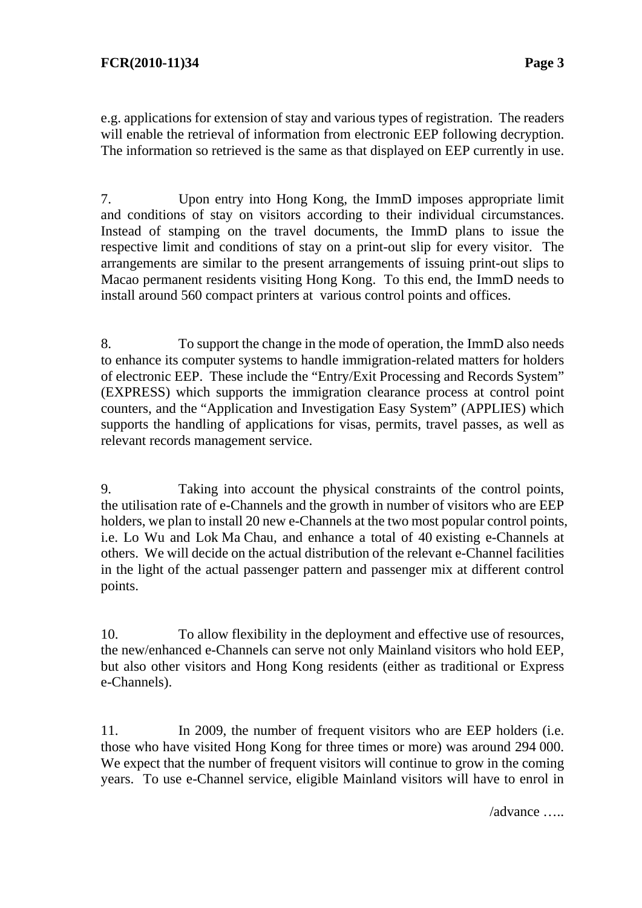e.g. applications for extension of stay and various types of registration. The readers will enable the retrieval of information from electronic EEP following decryption. The information so retrieved is the same as that displayed on EEP currently in use.

7. Upon entry into Hong Kong, the ImmD imposes appropriate limit and conditions of stay on visitors according to their individual circumstances. Instead of stamping on the travel documents, the ImmD plans to issue the respective limit and conditions of stay on a print-out slip for every visitor. The arrangements are similar to the present arrangements of issuing print-out slips to Macao permanent residents visiting Hong Kong. To this end, the ImmD needs to install around 560 compact printers at various control points and offices.

8. To support the change in the mode of operation, the ImmD also needs to enhance its computer systems to handle immigration-related matters for holders of electronic EEP. These include the "Entry/Exit Processing and Records System" (EXPRESS) which supports the immigration clearance process at control point counters, and the "Application and Investigation Easy System" (APPLIES) which supports the handling of applications for visas, permits, travel passes, as well as relevant records management service.

9. Taking into account the physical constraints of the control points, the utilisation rate of e-Channels and the growth in number of visitors who are EEP holders, we plan to install 20 new e-Channels at the two most popular control points, i.e. Lo Wu and Lok Ma Chau, and enhance a total of 40 existing e-Channels at others. We will decide on the actual distribution of the relevant e-Channel facilities in the light of the actual passenger pattern and passenger mix at different control points.

10. To allow flexibility in the deployment and effective use of resources, the new/enhanced e-Channels can serve not only Mainland visitors who hold EEP, but also other visitors and Hong Kong residents (either as traditional or Express e-Channels).

11. In 2009, the number of frequent visitors who are EEP holders (i.e. those who have visited Hong Kong for three times or more) was around 294 000. We expect that the number of frequent visitors will continue to grow in the coming years. To use e-Channel service, eligible Mainland visitors will have to enrol in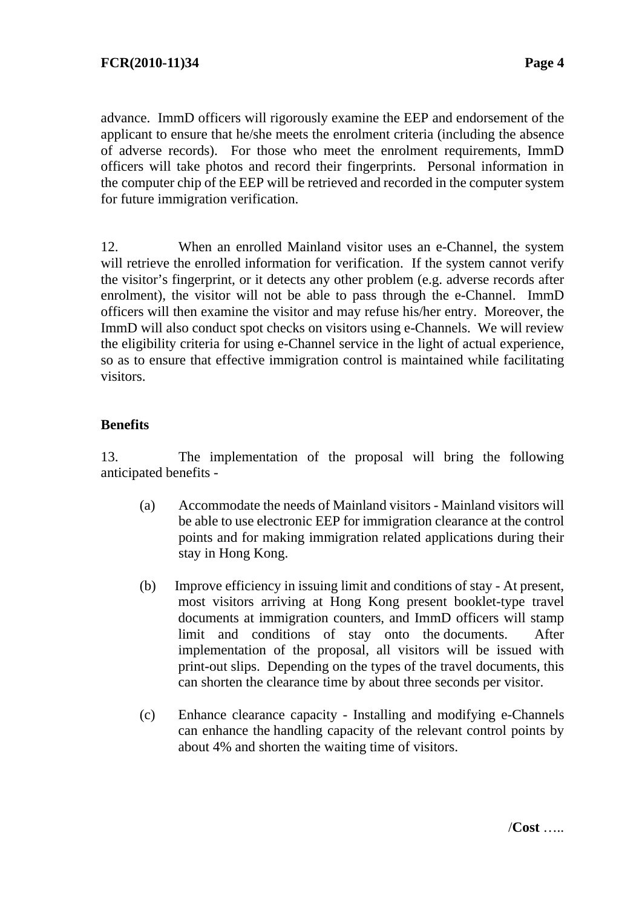advance. ImmD officers will rigorously examine the EEP and endorsement of the applicant to ensure that he/she meets the enrolment criteria (including the absence of adverse records). For those who meet the enrolment requirements, ImmD officers will take photos and record their fingerprints. Personal information in the computer chip of the EEP will be retrieved and recorded in the computer system for future immigration verification.

12. When an enrolled Mainland visitor uses an e-Channel, the system will retrieve the enrolled information for verification. If the system cannot verify the visitor's fingerprint, or it detects any other problem (e.g. adverse records after enrolment), the visitor will not be able to pass through the e-Channel. ImmD officers will then examine the visitor and may refuse his/her entry. Moreover, the ImmD will also conduct spot checks on visitors using e-Channels. We will review the eligibility criteria for using e-Channel service in the light of actual experience, so as to ensure that effective immigration control is maintained while facilitating visitors.

# **Benefits**

13. The implementation of the proposal will bring the following anticipated benefits -

- (a) Accommodate the needs of Mainland visitors Mainland visitors will be able to use electronic EEP for immigration clearance at the control points and for making immigration related applications during their stay in Hong Kong.
- (b) Improve efficiency in issuing limit and conditions of stay At present, most visitors arriving at Hong Kong present booklet-type travel documents at immigration counters, and ImmD officers will stamp limit and conditions of stay onto the documents. After implementation of the proposal, all visitors will be issued with print-out slips. Depending on the types of the travel documents, this can shorten the clearance time by about three seconds per visitor.
- (c) Enhance clearance capacity Installing and modifying e-Channels can enhance the handling capacity of the relevant control points by about 4% and shorten the waiting time of visitors.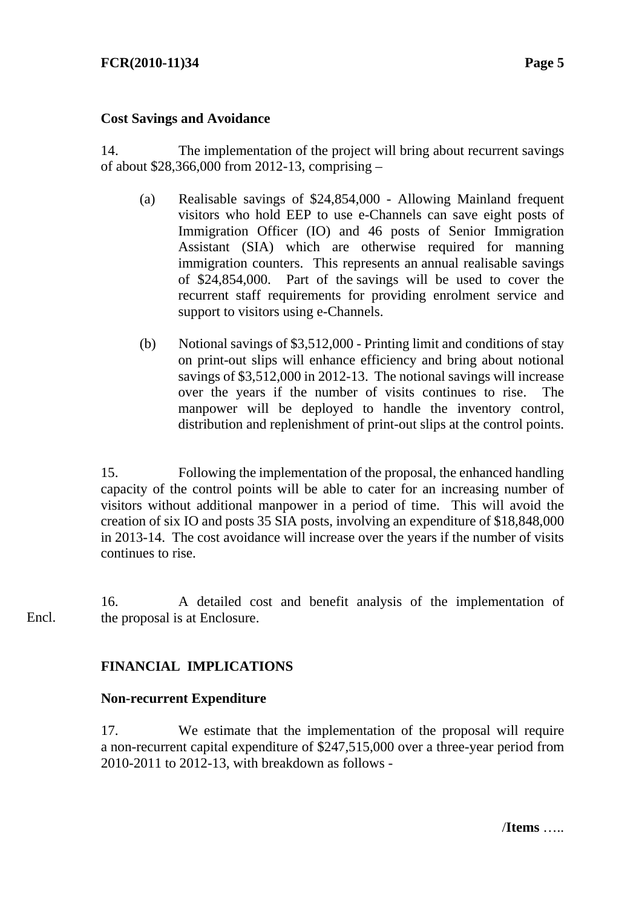## **FCR(2010-11)34 Page 5**

#### **Cost Savings and Avoidance**

14. The implementation of the project will bring about recurrent savings of about \$28,366,000 from 2012-13, comprising –

- (a) Realisable savings of \$24,854,000 Allowing Mainland frequent visitors who hold EEP to use e-Channels can save eight posts of Immigration Officer (IO) and 46 posts of Senior Immigration Assistant (SIA) which are otherwise required for manning immigration counters. This represents an annual realisable savings of \$24,854,000. Part of the savings will be used to cover the recurrent staff requirements for providing enrolment service and support to visitors using e-Channels.
- (b) Notional savings of \$3,512,000 Printing limit and conditions of stay on print-out slips will enhance efficiency and bring about notional savings of \$3,512,000 in 2012-13. The notional savings will increase over the years if the number of visits continues to rise. The manpower will be deployed to handle the inventory control, distribution and replenishment of print-out slips at the control points.

15. Following the implementation of the proposal, the enhanced handling capacity of the control points will be able to cater for an increasing number of visitors without additional manpower in a period of time. This will avoid the creation of six IO and posts 35 SIA posts, involving an expenditure of \$18,848,000 in 2013-14. The cost avoidance will increase over the years if the number of visits continues to rise.

16. A detailed cost and benefit analysis of the implementation of the proposal is at Enclosure. Encl.

## **FINANCIAL IMPLICATIONS**

#### **Non-recurrent Expenditure**

17. We estimate that the implementation of the proposal will require a non-recurrent capital expenditure of \$247,515,000 over a three-year period from 2010-2011 to 2012-13, with breakdown as follows -

/**Items** …..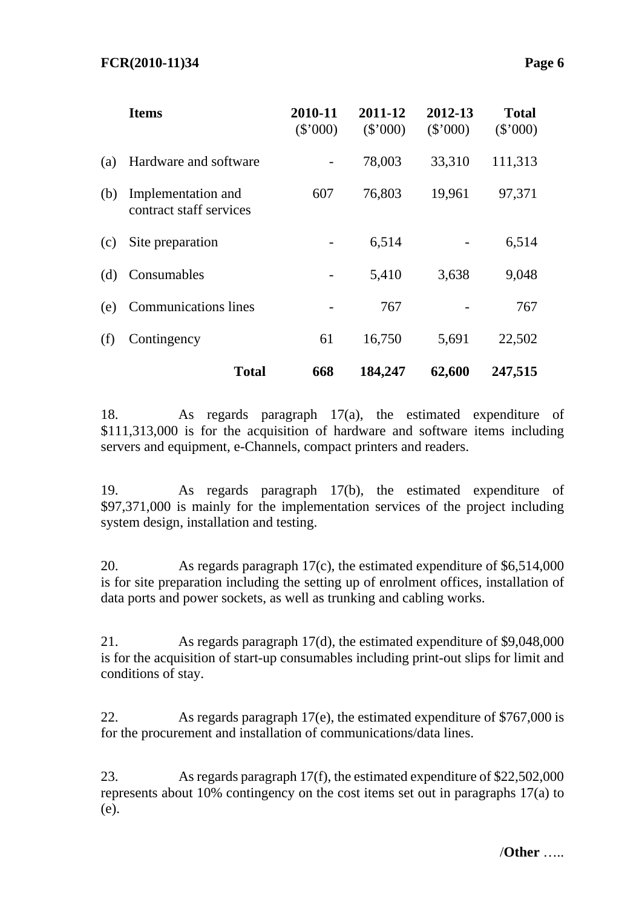|     | <b>Items</b>                                  | 2010-11<br>(\$'000) | 2011-12<br>(\$'000) | 2012-13<br>(\$'000) | <b>Total</b><br>$(\$'000)$ |
|-----|-----------------------------------------------|---------------------|---------------------|---------------------|----------------------------|
| (a) | Hardware and software                         |                     | 78,003              | 33,310              | 111,313                    |
| (b) | Implementation and<br>contract staff services | 607                 | 76,803              | 19,961              | 97,371                     |
| (c) | Site preparation                              |                     | 6,514               |                     | 6,514                      |
| (d) | Consumables                                   |                     | 5,410               | 3,638               | 9,048                      |
| (e) | <b>Communications</b> lines                   |                     | 767                 |                     | 767                        |
| (f) | Contingency                                   | 61                  | 16,750              | 5,691               | 22,502                     |
|     | <b>Total</b>                                  | 668                 | 184,247             | 62,600              | 247,515                    |

18. As regards paragraph 17(a), the estimated expenditure of \$111,313,000 is for the acquisition of hardware and software items including servers and equipment, e-Channels, compact printers and readers.

19. As regards paragraph 17(b), the estimated expenditure of \$97,371,000 is mainly for the implementation services of the project including system design, installation and testing.

20. As regards paragraph 17(c), the estimated expenditure of \$6,514,000 is for site preparation including the setting up of enrolment offices, installation of data ports and power sockets, as well as trunking and cabling works.

21. As regards paragraph 17(d), the estimated expenditure of \$9,048,000 is for the acquisition of start-up consumables including print-out slips for limit and conditions of stay.

22. As regards paragraph 17(e), the estimated expenditure of \$767,000 is for the procurement and installation of communications/data lines.

23. As regards paragraph 17(f), the estimated expenditure of \$22,502,000 represents about 10% contingency on the cost items set out in paragraphs 17(a) to (e).

/**Other** …..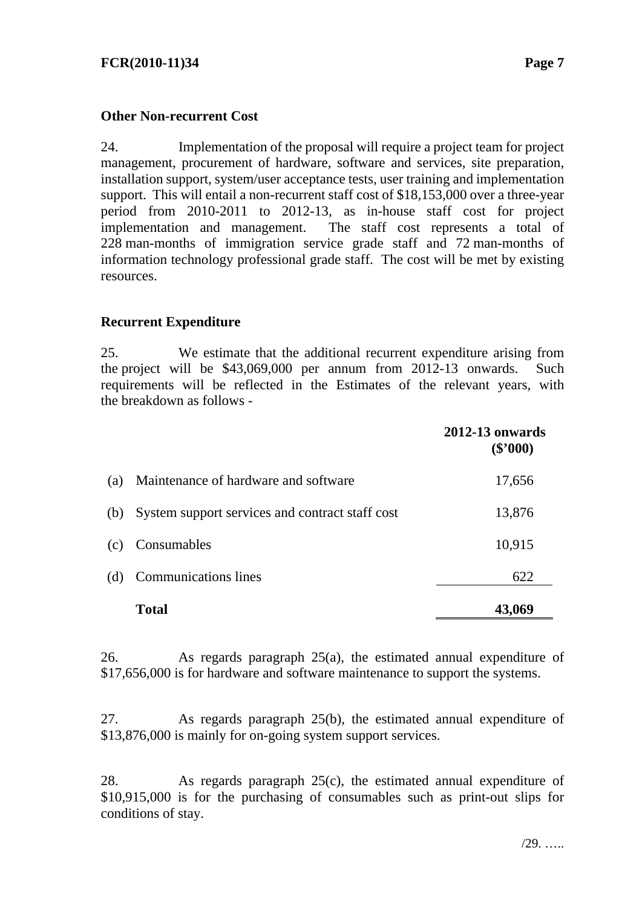## **Other Non-recurrent Cost**

24. Implementation of the proposal will require a project team for project management, procurement of hardware, software and services, site preparation, installation support, system/user acceptance tests, user training and implementation support. This will entail a non-recurrent staff cost of \$18,153,000 over a three-year period from 2010-2011 to 2012-13, as in-house staff cost for project implementation and management. The staff cost represents a total of 228 man-months of immigration service grade staff and 72 man-months of information technology professional grade staff. The cost will be met by existing resources.

# **Recurrent Expenditure**

25. We estimate that the additional recurrent expenditure arising from the project will be \$43,069,000 per annum from 2012-13 onwards. Such requirements will be reflected in the Estimates of the relevant years, with the breakdown as follows -

|     |                                                 | <b>2012-13 onwards</b><br>$(\$'000)$ |
|-----|-------------------------------------------------|--------------------------------------|
| (a) | Maintenance of hardware and software            | 17,656                               |
| (b) | System support services and contract staff cost | 13,876                               |
| (c) | Consumables                                     | 10,915                               |
| (d) | <b>Communications</b> lines                     | 622                                  |
|     | <b>Total</b>                                    | 43,069                               |

26. As regards paragraph 25(a), the estimated annual expenditure of \$17,656,000 is for hardware and software maintenance to support the systems.

27. As regards paragraph 25(b), the estimated annual expenditure of \$13,876,000 is mainly for on-going system support services.

28. As regards paragraph 25(c), the estimated annual expenditure of \$10,915,000 is for the purchasing of consumables such as print-out slips for conditions of stay.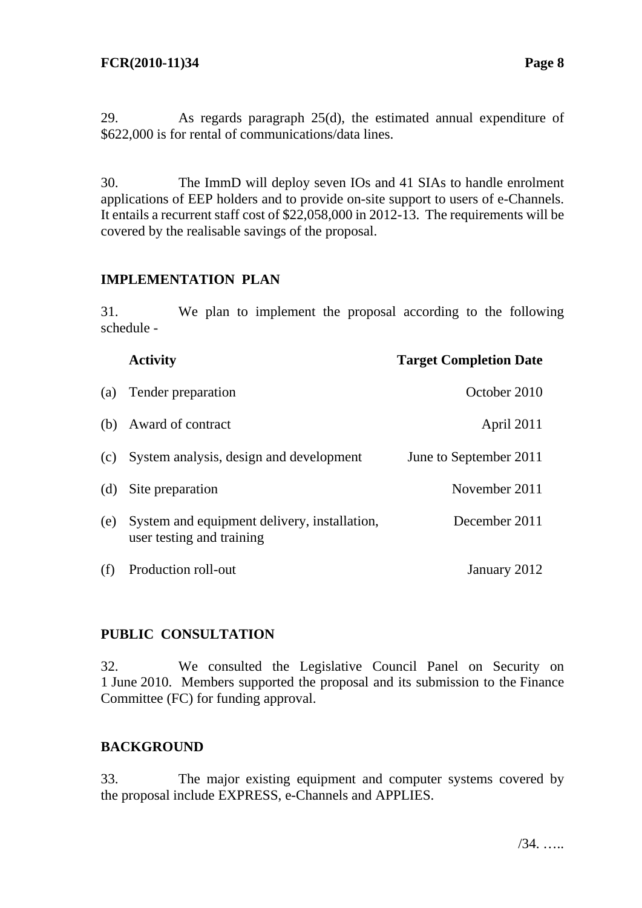29. As regards paragraph 25(d), the estimated annual expenditure of \$622,000 is for rental of communications/data lines.

30. The ImmD will deploy seven IOs and 41 SIAs to handle enrolment applications of EEP holders and to provide on-site support to users of e-Channels. It entails a recurrent staff cost of \$22,058,000 in 2012-13. The requirements will be covered by the realisable savings of the proposal.

# **IMPLEMENTATION PLAN**

31. We plan to implement the proposal according to the following schedule -

|     | <b>Activity</b>                                                           | <b>Target Completion Date</b> |
|-----|---------------------------------------------------------------------------|-------------------------------|
| (a) | Tender preparation                                                        | October 2010                  |
| (b) | Award of contract                                                         | April 2011                    |
| (c) | System analysis, design and development                                   | June to September 2011        |
| (d) | Site preparation                                                          | November 2011                 |
| (e) | System and equipment delivery, installation,<br>user testing and training | December 2011                 |
| (f) | Production roll-out                                                       | January 2012                  |

# **PUBLIC CONSULTATION**

32. We consulted the Legislative Council Panel on Security on 1 June 2010. Members supported the proposal and its submission to the Finance Committee (FC) for funding approval.

## **BACKGROUND**

33. The major existing equipment and computer systems covered by the proposal include EXPRESS, e-Channels and APPLIES.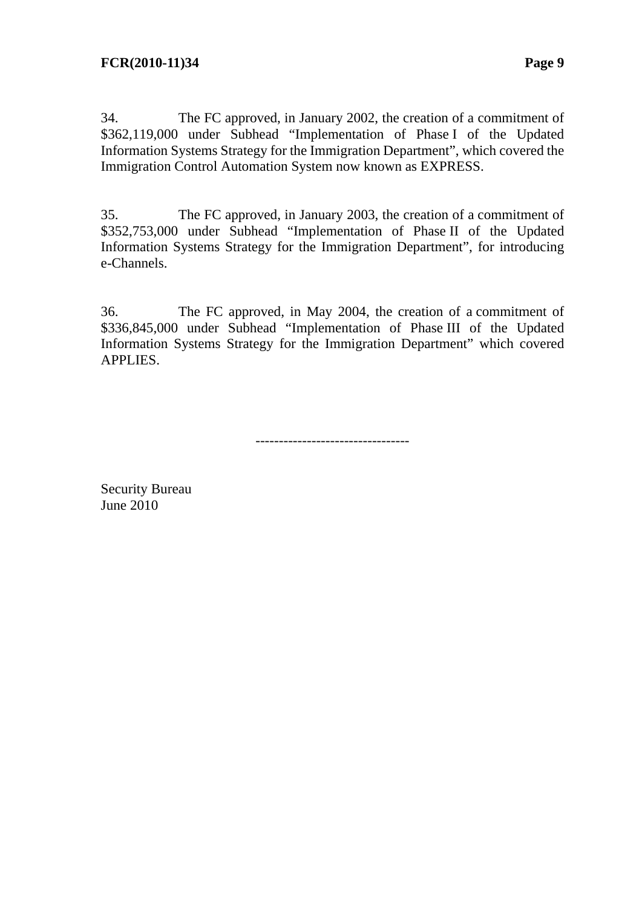34. The FC approved, in January 2002, the creation of a commitment of \$362,119,000 under Subhead "Implementation of Phase I of the Updated Information Systems Strategy for the Immigration Department", which covered the Immigration Control Automation System now known as EXPRESS.

35. The FC approved, in January 2003, the creation of a commitment of \$352,753,000 under Subhead "Implementation of Phase II of the Updated Information Systems Strategy for the Immigration Department", for introducing e-Channels.

36. The FC approved, in May 2004, the creation of a commitment of \$336,845,000 under Subhead "Implementation of Phase III of the Updated Information Systems Strategy for the Immigration Department" which covered APPLIES.

---------------------------------

Security Bureau June 2010